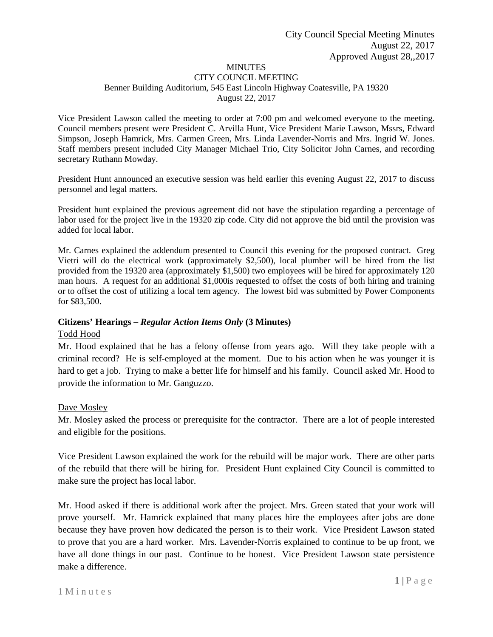# MINUTES

#### CITY COUNCIL MEETING Benner Building Auditorium, 545 East Lincoln Highway Coatesville, PA 19320 August 22, 2017

Vice President Lawson called the meeting to order at 7:00 pm and welcomed everyone to the meeting. Council members present were President C. Arvilla Hunt, Vice President Marie Lawson, Mssrs, Edward Simpson, Joseph Hamrick, Mrs. Carmen Green, Mrs. Linda Lavender-Norris and Mrs. Ingrid W. Jones. Staff members present included City Manager Michael Trio, City Solicitor John Carnes, and recording secretary Ruthann Mowday.

President Hunt announced an executive session was held earlier this evening August 22, 2017 to discuss personnel and legal matters.

President hunt explained the previous agreement did not have the stipulation regarding a percentage of labor used for the project live in the 19320 zip code. City did not approve the bid until the provision was added for local labor.

Mr. Carnes explained the addendum presented to Council this evening for the proposed contract. Greg Vietri will do the electrical work (approximately \$2,500), local plumber will be hired from the list provided from the 19320 area (approximately \$1,500) two employees will be hired for approximately 120 man hours. A request for an additional \$1,000is requested to offset the costs of both hiring and training or to offset the cost of utilizing a local tem agency. The lowest bid was submitted by Power Components for \$83,500.

## **Citizens' Hearings –** *Regular Action Items Only* **(3 Minutes)**

## Todd Hood

Mr. Hood explained that he has a felony offense from years ago. Will they take people with a criminal record? He is self-employed at the moment. Due to his action when he was younger it is hard to get a job. Trying to make a better life for himself and his family. Council asked Mr. Hood to provide the information to Mr. Ganguzzo.

## Dave Mosley

Mr. Mosley asked the process or prerequisite for the contractor. There are a lot of people interested and eligible for the positions.

Vice President Lawson explained the work for the rebuild will be major work. There are other parts of the rebuild that there will be hiring for. President Hunt explained City Council is committed to make sure the project has local labor.

Mr. Hood asked if there is additional work after the project. Mrs. Green stated that your work will prove yourself. Mr. Hamrick explained that many places hire the employees after jobs are done because they have proven how dedicated the person is to their work. Vice President Lawson stated to prove that you are a hard worker. Mrs. Lavender-Norris explained to continue to be up front, we have all done things in our past. Continue to be honest. Vice President Lawson state persistence make a difference.